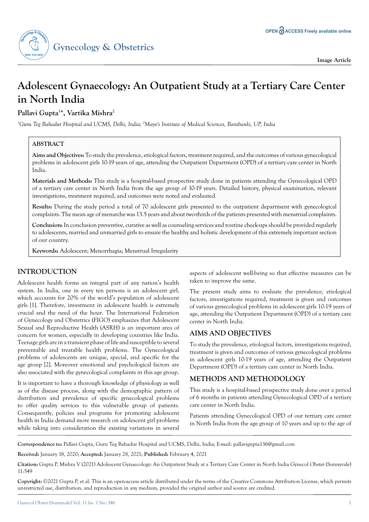

# **Adolescent Gynaecology: An Outpatient Study at a Tertiary Care Center in North India**

**Pallavi Gupta1 \*, Vartika Mishra2**

*1 Guru Teg Bahadur Hospital and UCMS, Delhi, India; 2 Mayo's Institute of Medical Sciences, Barabanki, UP, India*

### **ABSTRACT**

**Aims and Objectives:** To study the prevalence, etiological factors, treatment required, and the outcomes of various gynecological problems in adolescent girls 10-19 years of age, attending the Outpatient Department (OPD) of a tertiary care center in North India.

**Materials and Methods:** This study is a hospital-based prospective study done in patients attending the Gynecological OPD of a tertiary care center in North India from the age group of 10-19 years. Detailed history, physical examination, relevant investigations, treatment required, and outcomes were noted and evaluated.

**Results:** During the study period a total of 70 adolescent girls presented to the outpatient department with gynecological complaints. The mean age of menarche was 13.5 years and about two-thirds of the patients presented with menstrual complaints.

**Conclusion:** In conclusion preventive, curative as well as counseling services and routine check-ups should be provided regularly to adolescents, married and unmarried girls to ensure the healthy and holistic development of this extremely important section of our country.

**Keywords:** Adolescent; Menorrhagia; Menstrual Irregularity

# **INTRODUCTION**

Adolescent health forms an integral part of any nation's health system. In India, one in every ten persons is an adolescent girl, which accounts for 20% of the world's population of adolescent girls [1]. Therefore, investment in adolescent health is extremely crucial and the need of the hour. The International Federation of Gynecology and Obstetrics (FIGO) emphasizes that Adolescent Sexual and Reproductive Health (ASRH) is an important area of concern for women, especially in developing countries like India. Teenage girls are in a transient phase of life and susceptible to several preventable and treatable health problems. The Gynecological problems of adolescents are unique, special, and specific for the age group [2]. Moreover emotional and psychological factors are also associated with the gynecological complaints in this age group.

It is important to have a thorough knowledge of physiology as well as of the disease process, along with the demographic pattern of distribution and prevalence of specific gynecological problems to offer quality services to this vulnerable group of patients. Consequently, policies and programs for promoting adolescent health in India demand more research on adolescent girl problems while taking into consideration the existing variations in several

aspects of adolescent well-being so that effective measures can be taken to improve the same.

The present study aims to evaluate the prevalence, etiological factors, investigations required, treatment is given and outcomes of various gynecological problems in adolescent girls 10-19 years of age, attending the Outpatient Department (OPD) of a tertiary care center in North India.

# **AIMS AND OBJECTIVES**

To study the prevalence, etiological factors, investigations required, treatment is given and outcomes of various gynecological problems in adolescent girls 10-19 years of age, attending the Outpatient Department (OPD) of a tertiary care center in North India.

# **METHODS AND METHODOLOGY**

This study is a hospital-based prospective study done over a period of 6 months in patients attending Gynecological OPD of a tertiary care center in North India.

Patients attending Gynecological OPD of our tertiary care center in North India from the age group of 10 years and up to the age of

**Correspondence to:** Pallavi Gupta, Guru Teg Bahadur Hospital and UCMS, Delhi, India; E-mail: pallavigupta136@gmail.com

**Received:** January 18, 2020; **Accepted:** January 28, 2021; **Published:** February 4, 2021

**Citation:** Gupta P, Mishra V (2021) Adolescent Gynaecology: An Outpatient Study at a Tertiary Care Center in North India Gynecol Obstet (Sunnyvale) 11:549

**Copyright:** ©2021 Gupta P, et al. This is an open-access article distributed under the terms of the Creative Commons Attribution License, which permits unrestricted use, distribution, and reproduction in any medium, provided the original author and source are credited.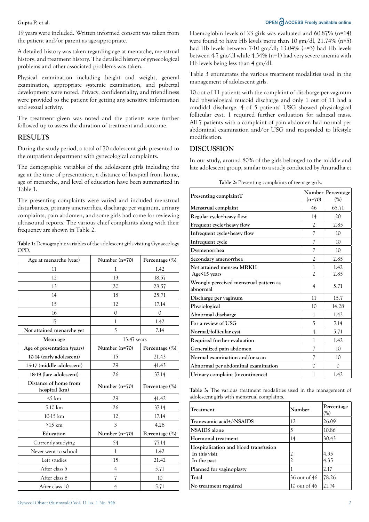#### **Gupta P, et al. OPEN**  $\bigodot$  **ACCESS Freely available online**

19 years were included. Written informed consent was taken from the patient and/or parent as age-appropriate.

A detailed history was taken regarding age at menarche, menstrual history, and treatment history. The detailed history of gynecological problems and other associated problems was taken.

Physical examination including height and weight, general examination, appropriate systemic examination, and pubertal development were noted. Privacy, confidentiality, and friendliness were provided to the patient for getting any sensitive information and sexual activity.

The treatment given was noted and the patients were further followed up to assess the duration of treatment and outcome.

#### **RESULTS**

During the study period, a total of 70 adolescent girls presented to the outpatient department with gynecological complaints.

The demographic variables of the adolescent girls including the age at the time of presentation, a distance of hospital from home, age of menarche, and level of education have been summarized in Table 1.

The presenting complaints were varied and included menstrual disturbances, primary amenorrhea, discharge per vaginum, urinary complaints, pain abdomen, and some girls had come for reviewing ultrasound reports. The various chief complaints along with their frequency are shown in Table 2.

| <b>Table 1:</b> Demographic variables of the adolescent girls visiting Gynaecology |  |
|------------------------------------------------------------------------------------|--|
| OPD.                                                                               |  |

| Age at menarche (year)                 | Number $(n=70)$ | Percentage (%) |
|----------------------------------------|-----------------|----------------|
| 11                                     | 1               | 1.42           |
| 12                                     | 13              | 18.57          |
| 13                                     | 20              | 28.57          |
| 14                                     | 18              | 25.71          |
| 15                                     | 12              | 17.14          |
| 16                                     | $\Omega$        | $\Omega$       |
| 17                                     | 1               | 1.42           |
| Not attained menarche yet              | 5               | 7.14           |
| Mean age                               | 13.47 years     |                |
| Age of presentation (years)            | Number (n=70)   | Percentage (%) |
| 10-14 (early adolescent)               | 15              | 21.43          |
| 15-17 (middle adolescent)              | 29              | 41.43          |
| 18-19 (late adolescent)                | 26              | 37.14          |
| Distance of home from<br>hospital (km) | Number $(n=70)$ | Percentage (%) |
| $5 \text{ km}$                         | 29              | 41.42          |
| 5-10 km                                | 26              | 37.14          |
| 10-15 km                               | 12              | 17.14          |
| $>15$ km                               | 3               | 4.28           |
| Education                              | Number (n=70)   | Percentage (%) |
| Currently studying                     | 54              | 77.14          |
| Never went to school                   | 1               | 1.42           |
| Left studies                           | 15              | 21.42          |
| After class 5                          | $\overline{4}$  | 5.71           |
| After class 8                          | 7               | 10             |
| After class 10                         | 4               | 5.71           |

Haemoglobin levels of 23 girls was evaluated and 60.87% (n=14) were found to have Hb levels more than 10 gm/dl, 21.74% (n=5) had Hb levels between 7-10 gm/dl; 13.04% (n=3) had Hb levels between 4-7 gm/dl while 4.34% (n=1) had very severe anemia with Hb levels being less than 4 gm/dl.

Table 3 enumerates the various treatment modalities used in the management of adolescent girls.

10 out of 11 patients with the complaint of discharge per vaginum had physiological mucoid discharge and only 1 out of 11 had a candidal discharge. 4 of 5 patients' USG showed physiological follicular cyst, 1 required further evaluation for adnexal mass. All 7 patients with a complaint of pain abdomen had normal per abdominal examination and/or USG and responded to lifestyle modification.

### **DISCUSSION**

In our study, around 80% of the girls belonged to the middle and late adolescent group, similar to a study conducted by Anuradha et

| Presenting complaintT                              | $(n=70)$            | Number Percentage<br>(%) |
|----------------------------------------------------|---------------------|--------------------------|
| Menstrual complaint                                | 46                  | 65.71                    |
| Regular cycle+heavy flow                           | 14                  | 20                       |
| Frequent cycle+heavy flow                          | $\overline{c}$      | 2.85                     |
| Infrequent cycle+heavy flow                        | 7                   | 10                       |
| Infrequent cycle                                   | 7                   | 10 <sup>2</sup>          |
| Dysmenorrhea                                       | 7                   | 10                       |
| Secondary amenorrhea                               | $\overline{c}$      | 2.85                     |
| Not attained menses: MRKH<br>Age<15 years          | 1<br>$\overline{c}$ | 1.42<br>2.85             |
| Wrongly perceived menstrual pattern as<br>abnormal | 4                   | 5.71                     |
| Discharge per vaginum                              | 11                  | 15.7                     |
| Physiological                                      | 10                  | 14.28                    |
| Abnormal discharge                                 | 1                   | 1.42                     |
| For a review of USG                                | 5                   | 7.14                     |
| Normal/follicular cyst                             | 4                   | 5.71                     |
| <b>Required further evaluation</b>                 | 1                   | 1.42                     |
| Generalized pain abdomen                           | 7                   | 10 <sup>2</sup>          |
| Normal examination and/or scan                     | 7                   | 10                       |
| Abnormal per abdominal examination                 | 0                   | 0                        |
| Urinary complaint (incontinence)                   | 1                   | 1.42                     |

**Table 2:** Presenting complaints of teenage girls.

**Table 3:** The various treatment modalities used in the management of adolescent girls with menstrual complaints.

| Treatment                             | Number         | Percentage<br>(%) |
|---------------------------------------|----------------|-------------------|
| Tranexamic acid+/-NSAIDS              | 12             | 26.09             |
| <b>NSAIDS</b> alone                   |                | 10.86             |
| Hormonal treatment                    | 14             | 30.43             |
| Hospitalization and blood transfusion |                |                   |
| In this visit                         | 2              | 4.35              |
| In the past                           |                | 4.35              |
| Planned for vaginoplasty              |                | 2.17              |
| Total                                 | 36 out of 46   | 78.26             |
| No treatment required                 | 10 out of $46$ | 21.74             |